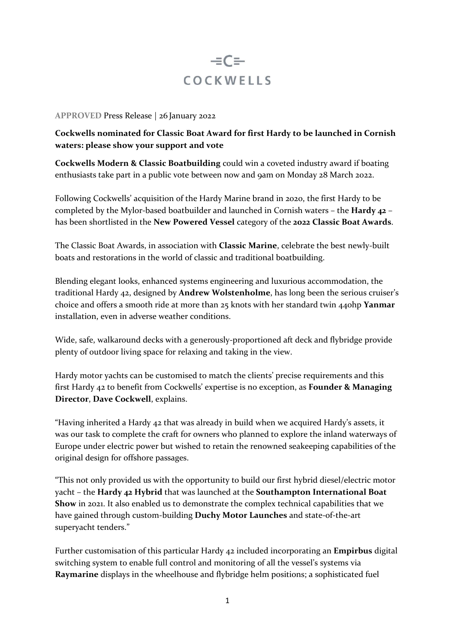# $= C =$ **COCKWELLS**

### **APPROVED** Press Release | 26 January 2022

## **Cockwells nominated for Classic Boat Award for first Hardy to be launched in Cornish waters: please show your support and vote**

**Cockwells Modern & Classic Boatbuilding** could win a coveted industry award if boating enthusiasts take part in a public vote between now and 9am on Monday 28 March 2022.

Following Cockwells' acquisition of the Hardy Marine brand in 2020, the first Hardy to be completed by the Mylor-based boatbuilder and launched in Cornish waters – the **Hardy 42** – has been shortlisted in the **New Powered Vessel** category of the **2022 Classic Boat Awards**.

The Classic Boat Awards, in association with **Classic Marine**, celebrate the best newly-built boats and restorations in the world of classic and traditional boatbuilding.

Blending elegant looks, enhanced systems engineering and luxurious accommodation, the traditional Hardy 42, designed by **Andrew Wolstenholme**, has long been the serious cruiser's choice and offers a smooth ride at more than 25 knots with her standard twin 440hp **Yanmar**  installation, even in adverse weather conditions.

Wide, safe, walkaround decks with a generously-proportioned aft deck and flybridge provide plenty of outdoor living space for relaxing and taking in the view.

Hardy motor yachts can be customised to match the clients' precise requirements and this first Hardy 42 to benefit from Cockwells' expertise is no exception, as **Founder & Managing Director**, **Dave Cockwell**, explains.

"Having inherited a Hardy 42 that was already in build when we acquired Hardy's assets, it was our task to complete the craft for owners who planned to explore the inland waterways of Europe under electric power but wished to retain the renowned seakeeping capabilities of the original design for offshore passages.

"This not only provided us with the opportunity to build our first hybrid diesel/electric motor yacht – the **Hardy 42 Hybrid** that was launched at the **Southampton International Boat Show** in 2021. It also enabled us to demonstrate the complex technical capabilities that we have gained through custom-building **Duchy Motor Launches** and state-of-the-art superyacht tenders."

Further customisation of this particular Hardy 42 included incorporating an **Empirbus** digital switching system to enable full control and monitoring of all the vessel's systems via **Raymarine** displays in the wheelhouse and flybridge helm positions; a sophisticated fuel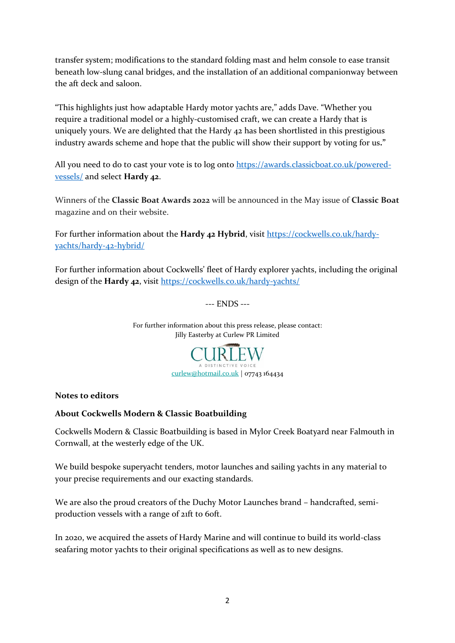transfer system; modifications to the standard folding mast and helm console to ease transit beneath low-slung canal bridges, and the installation of an additional companionway between the aft deck and saloon.

"This highlights just how adaptable Hardy motor yachts are," adds Dave. "Whether you require a traditional model or a highly-customised craft, we can create a Hardy that is uniquely yours. We are delighted that the Hardy 42 has been shortlisted in this prestigious industry awards scheme and hope that the public will show their support by voting for us**."**

All you need to do to cast your vote is to log onto [https://awards.classicboat.co.uk/powered](https://awards.classicboat.co.uk/powered-vessels/)[vessels/](https://awards.classicboat.co.uk/powered-vessels/) and select **Hardy 42**.

Winners of the **Classic Boat Awards 2022** will be announced in the May issue of **Classic Boat** magazine and on their website.

For further information about the **Hardy 42 Hybrid**, visit [https://cockwells.co.uk/hardy](https://cockwells.co.uk/hardy-yachts/hardy-42-hybrid/)[yachts/hardy-42-hybrid/](https://cockwells.co.uk/hardy-yachts/hardy-42-hybrid/)

For further information about Cockwells' fleet of Hardy explorer yachts, including the original design of the **Hardy 42**, visit<https://cockwells.co.uk/hardy-yachts/>

--- ENDS ---

For further information about this press release, please contact: Jilly Easterby at Curlew PR Limited



## **Notes to editors**

#### **About Cockwells Modern & Classic Boatbuilding**

Cockwells Modern & Classic Boatbuilding is based in Mylor Creek Boatyard near Falmouth in Cornwall, at the westerly edge of the UK.

We build bespoke superyacht tenders, motor launches and sailing yachts in any material to your precise requirements and our exacting standards.

We are also the proud creators of the Duchy Motor Launches brand – handcrafted, semiproduction vessels with a range of 21ft to 60ft.

In 2020, we acquired the assets of Hardy Marine and will continue to build its world-class seafaring motor yachts to their original specifications as well as to new designs.